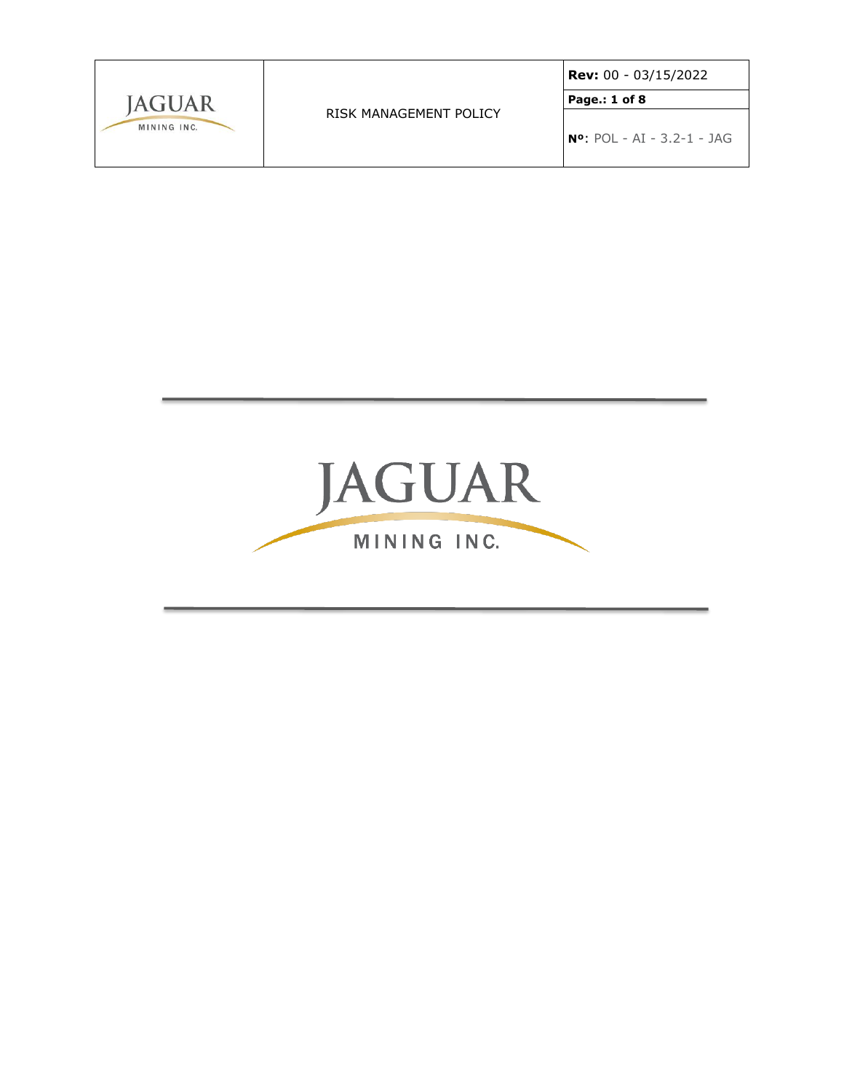|                              |                        | $ $ Rev: 00 - 03/15/2022                  |
|------------------------------|------------------------|-------------------------------------------|
| <b>IAGUAR</b><br>MINING INC. | RISK MANAGEMENT POLICY | Page.: 1 of 8                             |
|                              |                        | $\overline{N^o}$ : POL - AI - 3.2-1 - JAG |

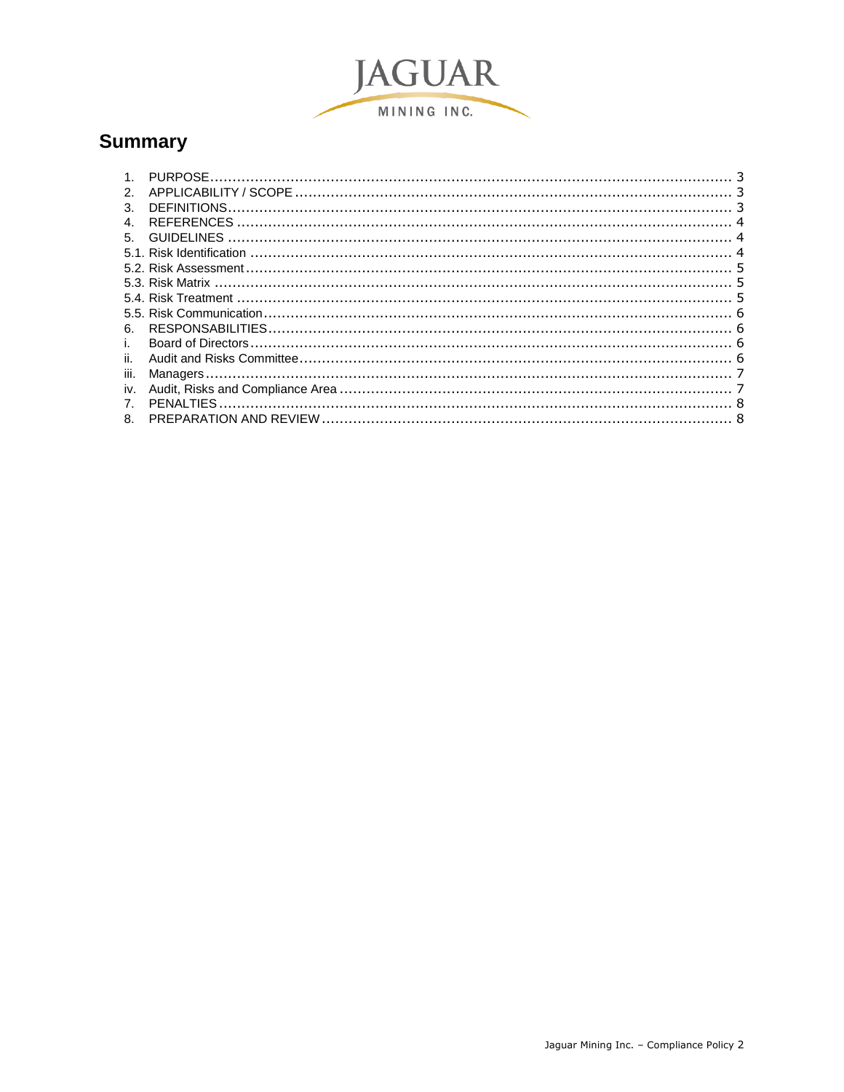

# **Summary**

| 2 <sub>1</sub> |  |
|----------------|--|
| 3.             |  |
| 4.             |  |
| 5.             |  |
|                |  |
|                |  |
|                |  |
|                |  |
|                |  |
| 6.             |  |
| i.             |  |
| ii.            |  |
| iii.           |  |
| iv.            |  |
| 7 <sub>1</sub> |  |
| 8.             |  |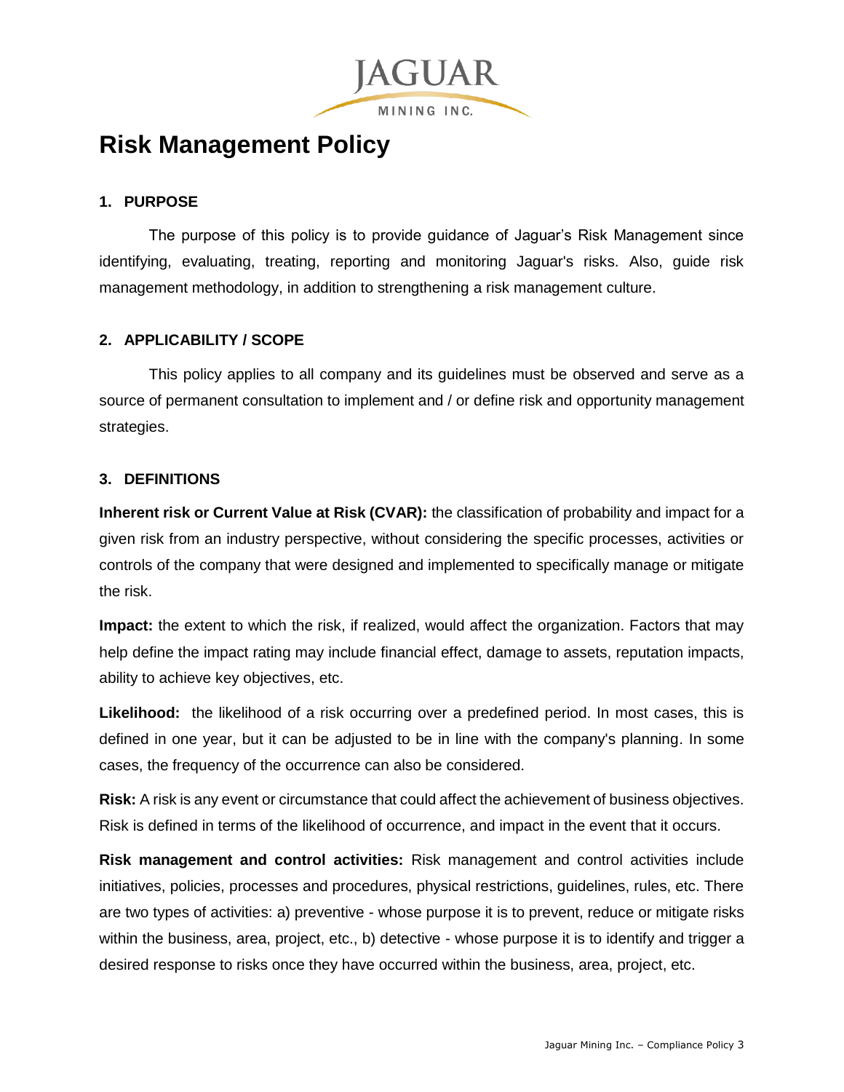

# **Risk Management Policy**

# <span id="page-2-0"></span>**1. PURPOSE**

The purpose of this policy is to provide guidance of Jaguar's Risk Management since identifying, evaluating, treating, reporting and monitoring Jaguar's risks. Also, guide risk management methodology, in addition to strengthening a risk management culture.

## <span id="page-2-1"></span>**2. APPLICABILITY / SCOPE**

This policy applies to all company and its guidelines must be observed and serve as a source of permanent consultation to implement and / or define risk and opportunity management strategies.

## <span id="page-2-2"></span>**3. DEFINITIONS**

**Inherent risk or Current Value at Risk (CVAR):** the classification of probability and impact for a given risk from an industry perspective, without considering the specific processes, activities or controls of the company that were designed and implemented to specifically manage or mitigate the risk.

**Impact:** the extent to which the risk, if realized, would affect the organization. Factors that may help define the impact rating may include financial effect, damage to assets, reputation impacts, ability to achieve key objectives, etc.

Likelihood: the likelihood of a risk occurring over a predefined period. In most cases, this is defined in one year, but it can be adjusted to be in line with the company's planning. In some cases, the frequency of the occurrence can also be considered.

**Risk:** A risk is any event or circumstance that could affect the achievement of business objectives. Risk is defined in terms of the likelihood of occurrence, and impact in the event that it occurs.

**Risk management and control activities:** Risk management and control activities include initiatives, policies, processes and procedures, physical restrictions, guidelines, rules, etc. There are two types of activities: a) preventive - whose purpose it is to prevent, reduce or mitigate risks within the business, area, project, etc., b) detective - whose purpose it is to identify and trigger a desired response to risks once they have occurred within the business, area, project, etc.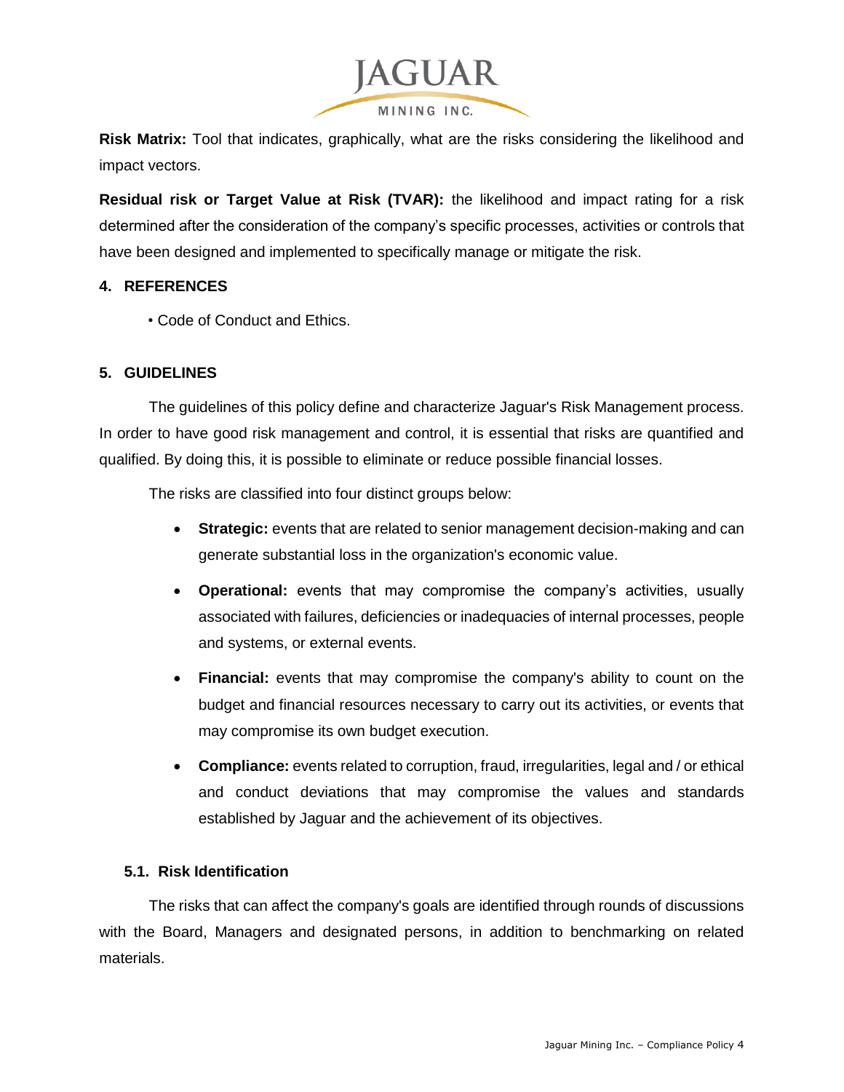

**Risk Matrix:** Tool that indicates, graphically, what are the risks considering the likelihood and impact vectors.

**Residual risk or Target Value at Risk (TVAR):** the likelihood and impact rating for a risk determined after the consideration of the company's specific processes, activities or controls that have been designed and implemented to specifically manage or mitigate the risk.

#### <span id="page-3-0"></span>**4. REFERENCES**

• Code of Conduct and Ethics.

#### <span id="page-3-1"></span>**5. GUIDELINES**

The guidelines of this policy define and characterize Jaguar's Risk Management process. In order to have good risk management and control, it is essential that risks are quantified and qualified. By doing this, it is possible to eliminate or reduce possible financial losses.

The risks are classified into four distinct groups below:

- **Strategic:** events that are related to senior management decision-making and can generate substantial loss in the organization's economic value.
- **Operational:** events that may compromise the company's activities, usually associated with failures, deficiencies or inadequacies of internal processes, people and systems, or external events.
- **Financial:** events that may compromise the company's ability to count on the budget and financial resources necessary to carry out its activities, or events that may compromise its own budget execution.
- **Compliance:** events related to corruption, fraud, irregularities, legal and / or ethical and conduct deviations that may compromise the values and standards established by Jaguar and the achievement of its objectives.

#### <span id="page-3-2"></span>**5.1. Risk Identification**

The risks that can affect the company's goals are identified through rounds of discussions with the Board, Managers and designated persons, in addition to benchmarking on related materials.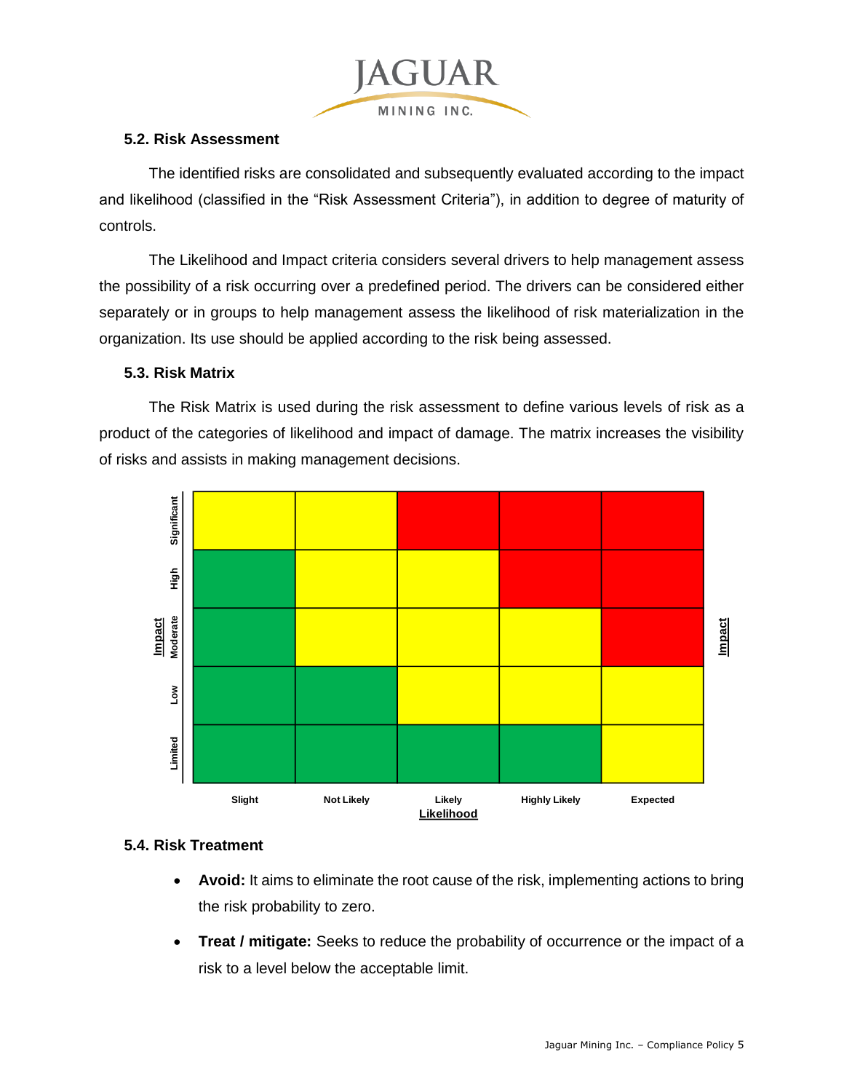

#### <span id="page-4-0"></span>**5.2. Risk Assessment**

The identified risks are consolidated and subsequently evaluated according to the impact and likelihood (classified in the "Risk Assessment Criteria"), in addition to degree of maturity of controls.

The Likelihood and Impact criteria considers several drivers to help management assess the possibility of a risk occurring over a predefined period. The drivers can be considered either separately or in groups to help management assess the likelihood of risk materialization in the organization. Its use should be applied according to the risk being assessed.

#### <span id="page-4-1"></span>**5.3. Risk Matrix**

The Risk Matrix is used during the risk assessment to define various levels of risk as a product of the categories of likelihood and impact of damage. The matrix increases the visibility of risks and assists in making management decisions.



#### <span id="page-4-2"></span>**5.4. Risk Treatment**

- Avoid: It aims to eliminate the root cause of the risk, implementing actions to bring the risk probability to zero.
- **Treat / mitigate:** Seeks to reduce the probability of occurrence or the impact of a risk to a level below the acceptable limit.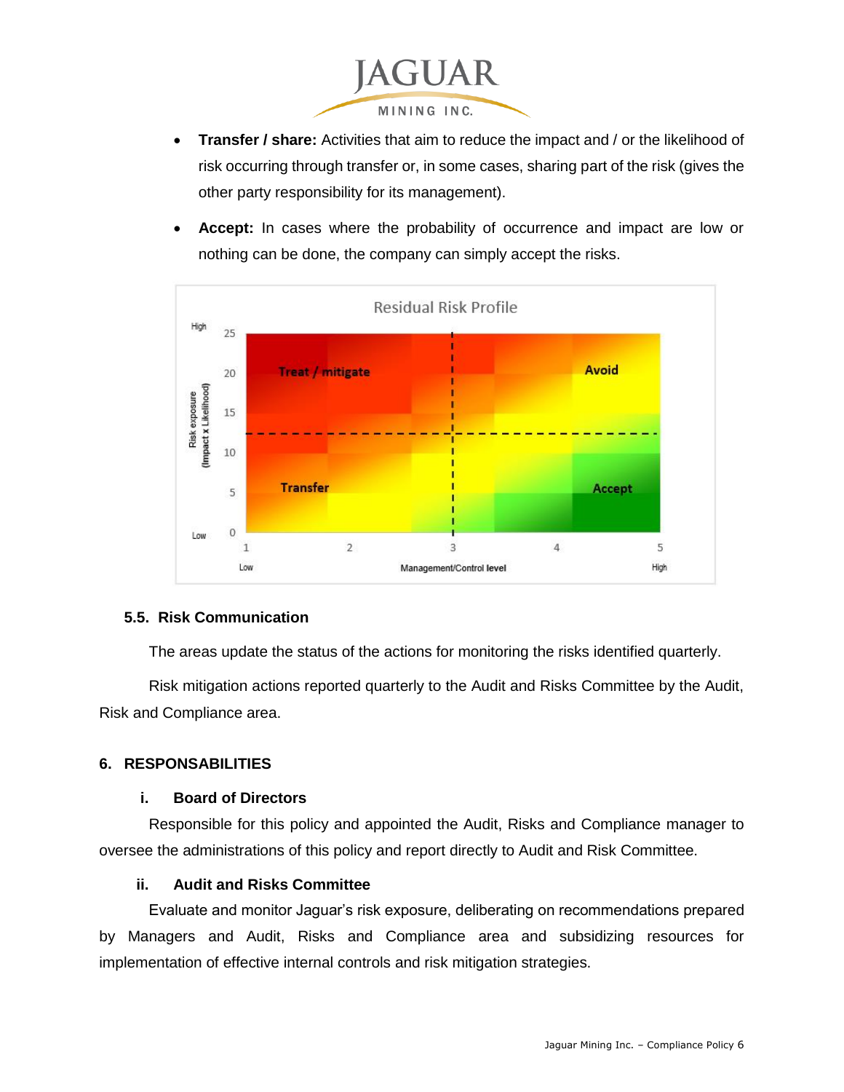

- **Transfer / share:** Activities that aim to reduce the impact and / or the likelihood of risk occurring through transfer or, in some cases, sharing part of the risk (gives the other party responsibility for its management).
- **Accept:** In cases where the probability of occurrence and impact are low or nothing can be done, the company can simply accept the risks.



#### <span id="page-5-0"></span>**5.5. Risk Communication**

The areas update the status of the actions for monitoring the risks identified quarterly.

Risk mitigation actions reported quarterly to the Audit and Risks Committee by the Audit, Risk and Compliance area.

#### <span id="page-5-1"></span>**6. RESPONSABILITIES**

#### **i. Board of Directors**

<span id="page-5-2"></span>Responsible for this policy and appointed the Audit, Risks and Compliance manager to oversee the administrations of this policy and report directly to Audit and Risk Committee.

#### **ii. Audit and Risks Committee**

<span id="page-5-3"></span>Evaluate and monitor Jaguar's risk exposure, deliberating on recommendations prepared by Managers and Audit, Risks and Compliance area and subsidizing resources for implementation of effective internal controls and risk mitigation strategies.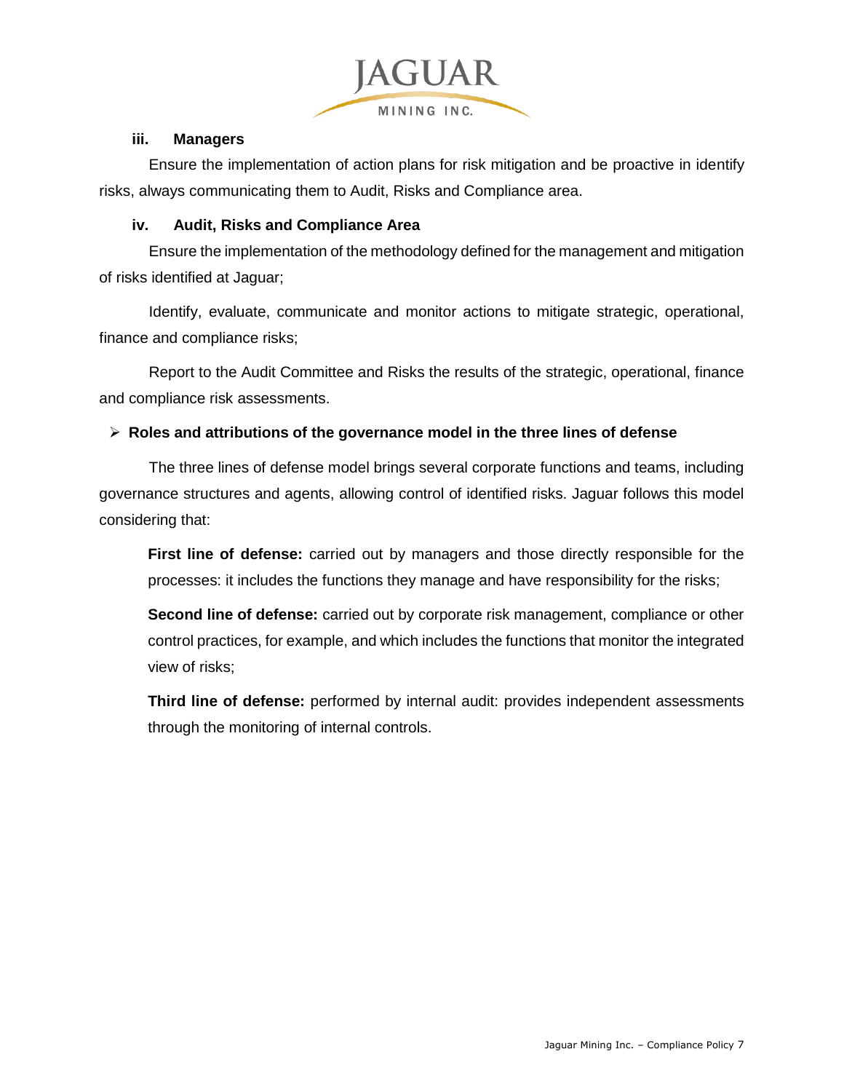

#### **iii. Managers**

<span id="page-6-0"></span>Ensure the implementation of action plans for risk mitigation and be proactive in identify risks, always communicating them to Audit, Risks and Compliance area.

#### **iv. Audit, Risks and Compliance Area**

<span id="page-6-1"></span>Ensure the implementation of the methodology defined for the management and mitigation of risks identified at Jaguar;

Identify, evaluate, communicate and monitor actions to mitigate strategic, operational, finance and compliance risks;

Report to the Audit Committee and Risks the results of the strategic, operational, finance and compliance risk assessments.

#### **Roles and attributions of the governance model in the three lines of defense**

The three lines of defense model brings several corporate functions and teams, including governance structures and agents, allowing control of identified risks. Jaguar follows this model considering that:

**First line of defense:** carried out by managers and those directly responsible for the processes: it includes the functions they manage and have responsibility for the risks;

**Second line of defense:** carried out by corporate risk management, compliance or other control practices, for example, and which includes the functions that monitor the integrated view of risks;

**Third line of defense:** performed by internal audit: provides independent assessments through the monitoring of internal controls.